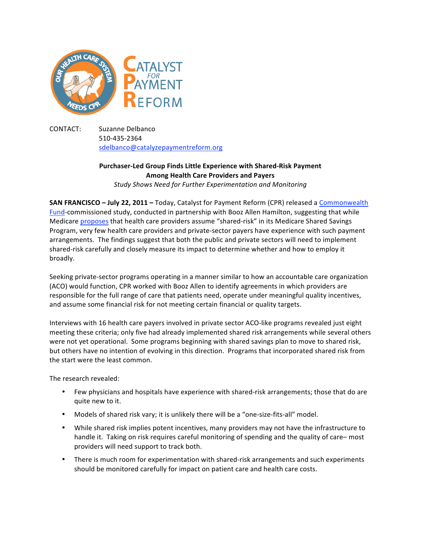

CONTACT: Suzanne
Delbanco 510‐435‐2364 sdelbanco@catalyzepaymentreform.org

## **Purchaser‐Led
Group
Finds
Little
Experience
with
Shared‐Risk
Payment Among
Health
Care
Providers
and
Payers**

*Study Shows Need for Further Experimentation and Monitoring*

**SAN FRANCISCO - July 22, 2011 - Today, Catalyst for Payment Reform (CPR) released a <b>Commonwealth** Fund-commissioned study, conducted in partnership with Booz Allen Hamilton, suggesting that while Medicare proposes that health care providers assume "shared-risk" in its Medicare Shared Savings Program, very few health care providers and private-sector payers have experience with such payment arrangements.

The
findings
suggest
that
both
the
public
and
private
sectors
will
need
to
implement shared-risk carefully and closely measure its impact to determine whether and how to employ it broadly.

Seeking private-sector programs operating in a manner similar to how an accountable care organization (ACO)
would
function,
CPR
worked
with
Booz
Allen
to
identify
agreements
in
which
providers
are responsible for the full range of care that patients need, operate under meaningful quality incentives, and assume some financial risk for not meeting certain financial or quality targets.

Interviews with 16 health care payers involved in private sector ACO-like programs revealed just eight meeting
these
criteria;
only
five
had
already
implemented
shared
risk
arrangements
while
several
others were not yet operational. Some programs beginning with shared savings plan to move to shared risk, but others have no intention of evolving in this direction. Programs that incorporated shared risk from the
start
were
the
least
common.

The
research
revealed:

- Few physicians and hospitals have experience with shared-risk arrangements; those that do are quite
new
to
it.
- Models of shared risk vary; it is unlikely there will be a "one-size-fits-all" model.
- While shared risk implies potent incentives, many providers may not have the infrastructure to handle it. Taking on risk requires careful monitoring of spending and the quality of care-most providers
will
need
support
to
track
both.
- There is much room for experimentation with shared-risk arrangements and such experiments should be monitored carefully for impact on patient care and health care costs.